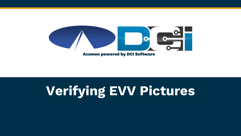

### **Verifying EVV Pictures**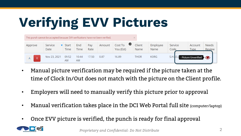# **Verifying EVV Pictures**

| This punch cannot be accepted because EVV verifications have not been verified. |                 |               |             |             |        |                           |                |                  |                 |                        |                        |
|---------------------------------------------------------------------------------|-----------------|---------------|-------------|-------------|--------|---------------------------|----------------|------------------|-----------------|------------------------|------------------------|
| Approve                                                                         | Service<br>Date | Start<br>Time | End<br>Time | Pav<br>Rate | Amount | O<br>Cost To<br>You (Est) | Client<br>Name | Employee<br>Name | Service<br>Code | Account<br><b>Type</b> | <b>Needs</b><br>Review |
| R                                                                               | Nov 23, 2021    | 09:52<br>AM   | 10:44<br>AM | 17.50       | 0.87   | 16.89                     | <b>THOR</b>    | <b>KORG</b>      | S.H.I.E.I       | - Picture Unverified   |                        |

- Manual picture verification may be required if the picture taken at the time of Clock In/Out does not match with the picture on the Client profile.
- Employers will need to manually verify this picture prior to approval
- Manual verification takes place in the DCI Web Portal full site (computer/laptop)
- Once EVV picture is verified, the punch is ready for final approval

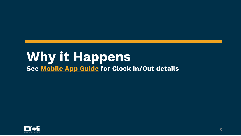### **Why it Happens See [Mobile App Guide](https://acumenfiscalagent.zendesk.com/hc/en-us) for Clock In/Out details**

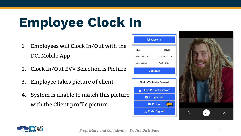# **Employee Clock In**

- 1. Employees will Clock In/Out with the DCI Mobile App
- 2. Clock In/Out EVV Selection is Picture
- 3. Employee takes picture of client
- 4. System is unable to match this picture with the Client profile picture

| Clock In                              |              |  |  |  |  |  |  |  |
|---------------------------------------|--------------|--|--|--|--|--|--|--|
| Client                                | THOR $\sim$  |  |  |  |  |  |  |  |
| Service Code                          | S.H.I.E.L.D. |  |  |  |  |  |  |  |
| Cost Center                           | AZ-010 O     |  |  |  |  |  |  |  |
| <b>Continue</b>                       |              |  |  |  |  |  |  |  |
| <b>Clock In Verification Required</b> |              |  |  |  |  |  |  |  |
| <b>Client PIN or Password</b>         |              |  |  |  |  |  |  |  |
| $\mathbb{Z}$ E-Signature              |              |  |  |  |  |  |  |  |
|                                       |              |  |  |  |  |  |  |  |
| <b>O</b> Picture                      |              |  |  |  |  |  |  |  |
| <b>A</b> Portal Signoff               |              |  |  |  |  |  |  |  |



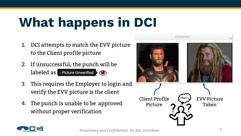# **What happens in DCI**

- 1. DCI attempts to match the EVV picture to the Client profile picture
- 2. If unsuccessful, the punch will be  $labeled$  as  $\blacksquare$  Picture Unverified  $\lozenge$
- 3. This requires the Employer to login and verify the EVV picture is the client
- 4. The punch is unable to be approved without proper verification



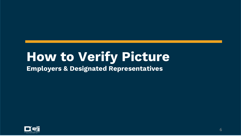### **How to Verify Picture Employers & Designated Representatives**

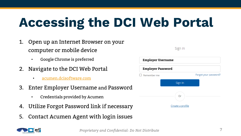## **Accessing the DCI Web Portal**

- 1. Open up an Internet Browser on your computer or mobile device
	- Google Chrome is preferred
- 2. Navigate to the DCI Web Portal
	- [acumen.dcisoftware.com](https://acumen.dcisoftware.com/)
- 3. Enter Employer Username and Password
	- Credentials provided by Acumen
- 4. Utilize Forgot Password link if necessary
- 5. Contact Acumen Agent with login issues



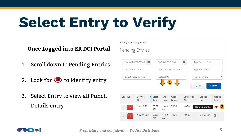# **Select Entry to Verify**

#### **Once Logged into ER DCI Portal**

- 1. Scroll down to Pending Entries
- 2. Look for  $\bullet$  to identify entry
- 3. Select Entry to view all Punch Details entry



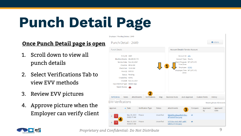# **Punch Detail Page**

#### **Once Punch Detail page is open**

- 1. Scroll down to view all punch details
- 2. Select Verifications Tab to view EVV methods
- 3. Review EVV pictures
- 4. Approve picture when the Employer can verify client





*Proprietary and Confidential: Do Not Distribute*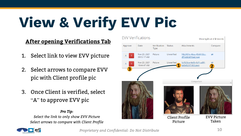# **View & Verify EVV Pic**

#### **After opening Verifications Tab**

- 1. Select link to view EVV picture
- 2. Select arrows to compare EVV pic with Client profile pic
- 3. Once Client is verified, select "A" to approve EVV pic

#### *Pro Tip:*

*Select the link to only show EVV Picture Select arrows to compare with Client Profile*





*Proprietary and Confidential: Do Not Distribute*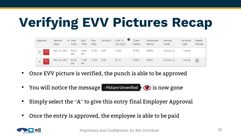# **Verifying EVV Pictures Recap**

| Approve             | Service<br>Date | $\blacktriangleright$ Start<br>Time | End<br>Time        | Pav<br>Rate | Amount | $\bullet$<br>Cost To<br>You (Est) | Client<br>Name | Employee<br>Name | Service<br>Code | Account<br>Type | <b>Needs</b><br>Review |
|---------------------|-----------------|-------------------------------------|--------------------|-------------|--------|-----------------------------------|----------------|------------------|-----------------|-----------------|------------------------|
| $\overline{R}$<br>A | Nov 23, 2021    | 09:52<br>AM                         | 10:44<br>AM        | 17.50       | 0.87   | 16.89                             | <b>THOR</b>    | <b>KORG</b>      | S.H.I.E.L.D.    | Hourly          |                        |
| $\overline{R}$<br>Α | Nov 07, 2021    | 06:30<br><b>AM</b>                  | 11:00<br><b>AM</b> | 17.50       | 4.50   | 87.37                             | <b>THOR</b>    | <b>KORG</b>      | S.H.I.E.L.D.    | Hourly          | ဨ                      |

- Once EVV picture is verified, the punch is able to be approved
- You will notice the message  $\Box$  Picture Unverified  $\Diamond$  is now gone
- Simply select the "A" to give this entry final Employer Approval
- Once the entry is approved, the employee is able to be paid

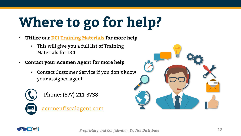# **Where to go for help?**

- **Utilize our [DCI Training Materials f](https://acumenfiscalagent.zendesk.com/hc/en-us/sections/115001430647-Training-Materials)or more help**
	- This will give you a full list of Training Materials for DCI
- **Contact your Acumen Agent for more help**
	- Contact Customer Service if you don't know your assigned agent



Phone: (877) 211-3738

[acumenfiscalagent.com](https://www.acumenfiscalagent.com/)